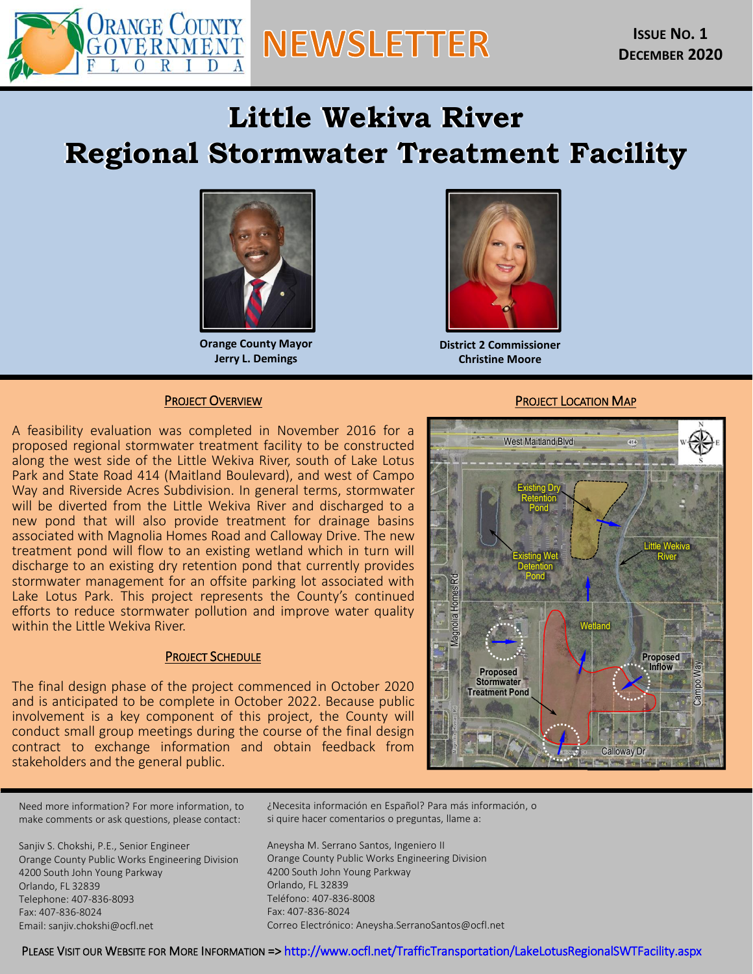

# **Little Wekiva River Regional Stormwater Regional Stormwater Regional Stormwater Regional Stormwater Treatment Facility of the Regional Stormwater Regional Stormwater Treatment Facility of the Regional Stormwater Treatment Regional Stormwater Treatment Facility** Regional Stormwater Treatment Facility



**Orange County Mayor Jerry L. Demings**



**District 2 Commissioner Christine Moore**

#### PROJECT OVERVIEW

A feasibility evaluation was completed in November 2016 for a proposed regional stormwater treatment facility to be constructed along the west side of the Little Wekiva River, south of Lake Lotus Park and State Road 414 (Maitland Boulevard), and west of Campo Way and Riverside Acres Subdivision. In general terms, stormwater will be diverted from the Little Wekiva River and discharged to a new pond that will also provide treatment for drainage basins associated with Magnolia Homes Road and Calloway Drive. The new treatment pond will flow to an existing wetland which in turn will discharge to an existing dry retention pond that currently provides stormwater management for an offsite parking lot associated with Lake Lotus Park. This project represents the County's continued efforts to reduce stormwater pollution and improve water quality within the Little Wekiva River.

#### PROJECT SCHEDULE

The final design phase of the project commenced in October 2020 and is anticipated to be complete in October 2022. Because public involvement is a key component of this project, the County will conduct small group meetings during the course of the final design contract to exchange information and obtain feedback from stakeholders and the general public.

#### PROJECT LOCATION MAP



Need more information? For more information, to make comments or ask questions, please contact:

Sanjiv S. Chokshi, P.E., Senior Engineer Orange County Public Works Engineering Division 4200 South John Young Parkway Orlando, FL 32839 Telephone: 407-836-8093 Fax: 407-836-8024 Email: sanjiv.chokshi@ocfl.net

¿Necesita información en Español? Para más información, o si quire hacer comentarios o preguntas, llame a:

Aneysha M. Serrano Santos, Ingeniero II Orange County Public Works Engineering Division 4200 South John Young Parkway Orlando, FL 32839 Teléfono: 407-836-8008 Fax: 407-836-8024 Correo Electrónico: Aneysha.SerranoSantos@ocfl.net

PLEASE VISIT OUR WEBSITE FOR MORE INFORMATION => <http://www.ocfl.net/TrafficTransportation/LakeLotusRegionalSWTFacility.aspx>